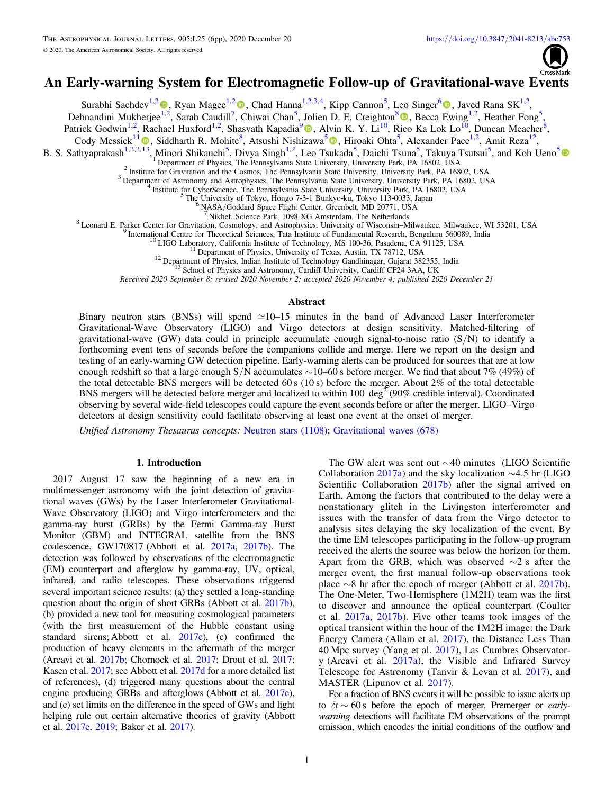

# An Early-warning System for Electromagnetic Follow-up of Gravitational-wave Events

Surabhi Sachdev<sup>1,[2](https://orcid.org/0000-0001-9769-531X)</sup> (D)[,](https://orcid.org/0000-0001-9898-5597) Ryan Magee<sup>1,2</sup> (D), Chad Hanna<sup>1,2,3,4</sup>, Kipp Cannon<sup>5</sup>, Leo Singer<sup>6</sup> (D), Javed Rana SK<sup>1,2</sup>,

Debnandini Mukherjee<sup>[1,2](https://orcid.org/0000-0002-0525-2317)</sup>, Sarah Caudill<sup>7</sup>, Chiwai Chan<sup>5</sup>, Jolien D. E. Creighton<sup>8</sup> , Becca Ewing<sup>1,2</sup>, Heather Fong<sup>5</sup>,

Patrick Godwin<sup>1,2</sup>, Rachael Huxford<sup>1,2</sup>, Shasvath Kapadia<sup>[9](https://orcid.org/0000-0001-5318-1253)</sup> (D, Alvin K. Y. Li<sup>10</sup>, Rico Ka Lok Lo<sup>10</sup>, Duncan Meacher<sup>8</sup>,

Cody Messick<sup>[1](https://orcid.org/0000-0002-8230-3309)1</sup><sup>(1)</sup>, Siddharth R. Mohite<sup>8</sup>, Atsushi Nishizawa<sup>[5](https://orcid.org/0000-0002-6109-2397)</sup><sup>(1)</sup>, Hiroaki Ohta<sup>5</sup>, Alexander Pace<sup>1,2</sup>, Amit Reza<sup>12</sup>,

B. S. Sathyaprakash<sup>1,2,3[,13](https://orcid.org/0000-0002-8230-3309)</sup>, Minori Shikauchi<sup>[5](https://orcid.org/0000-0003-0424-3045)</sup>, Divya Singh<sup>1,2</sup>, Leo Tsukada<sup>5</sup>, Daichi Tsuna<sup>5</sup>, Takuya Tsutsui<sup>5</sup>, and Koh Ueno<sup>5</sup>

<sup>2</sup> Institute for Gravitation and the Cosmos, The Pennsylvania State University, University Park, PA 16802, USA<br>
<sup>4</sup> Department of Astronomy and Astrophysics, The Pennsylvania State University, University Park, PA 16802,

Received 2020 September 8; revised 2020 November 2; accepted 2020 November 4; published 2020 December 21

### Abstract

Binary neutron stars (BNSs) will spend  $\simeq$ 10–15 minutes in the band of Advanced Laser Interferometer Gravitational-Wave Observatory (LIGO) and Virgo detectors at design sensitivity. Matched-filtering of gravitational-wave (GW) data could in principle accumulate enough signal-to-noise ratio  $(S/N)$  to identify a forthcoming event tens of seconds before the companions collide and merge. Here we report on the design and testing of an early-warning GW detection pipeline. Early-warning alerts can be produced for sources that are at low enough redshift so that a large enough S/N accumulates ∼10–60 s before merger. We find that about 7% (49%) of the total detectable BNS mergers will be detected 60 s  $(10 s)$  before the merger. About 2% of the total detectable BNS mergers will be detected before merger and localized to within 100 deg<sup>2</sup> (90% credible interval). Coordinated observing by several wide-field telescopes could capture the event seconds before or after the merger. LIGO–Virgo detectors at design sensitivity could facilitate observing at least one event at the onset of merger.

Unified Astronomy Thesaurus concepts: [Neutron stars](http://astrothesaurus.org/uat/1108) (1108); [Gravitational waves](http://astrothesaurus.org/uat/678) (678)

# 1. Introduction

2017 August 17 saw the beginning of a new era in multimessenger astronomy with the joint detection of gravitational waves (GWs) by the Laser Interferometer Gravitational-Wave Observatory (LIGO) and Virgo interferometers and the gamma-ray burst (GRBs) by the Fermi Gamma-ray Burst Monitor (GBM) and INTEGRAL satellite from the BNS coalescence, GW170817 (Abbott et al. [2017a](#page-4-0), [2017b](#page-4-0)). The detection was followed by observations of the electromagnetic (EM) counterpart and afterglow by gamma-ray, UV, optical, infrared, and radio telescopes. These observations triggered several important science results: (a) they settled a long-standing question about the origin of short GRBs (Abbott et al. [2017b](#page-4-0)), (b) provided a new tool for measuring cosmological parameters (with the first measurement of the Hubble constant using standard sirens; Abbott et al. [2017c](#page-4-0)), (c) confirmed the production of heavy elements in the aftermath of the merger (Arcavi et al. [2017b;](#page-4-0) Chornock et al. [2017;](#page-4-0) Drout et al. [2017](#page-4-0); Kasen et al. [2017](#page-4-0); see Abbott et al. [2017d](#page-4-0) for a more detailed list of references), (d) triggered many questions about the central engine producing GRBs and afterglows (Abbott et al. [2017e](#page-4-0)), and (e) set limits on the difference in the speed of GWs and light helping rule out certain alternative theories of gravity (Abbott et al. [2017e](#page-4-0), [2019;](#page-4-0) Baker et al. [2017](#page-4-0)).

The GW alert was sent out ∼40 minutes (LIGO Scientific Collaboration [2017a](#page-4-0)) and the sky localization ∼4.5 hr (LIGO Scientific Collaboration [2017b](#page-4-0)) after the signal arrived on Earth. Among the factors that contributed to the delay were a nonstationary glitch in the Livingston interferometer and issues with the transfer of data from the Virgo detector to analysis sites delaying the sky localization of the event. By the time EM telescopes participating in the follow-up program received the alerts the source was below the horizon for them. Apart from the GRB, which was observed ∼2 s after the merger event, the first manual follow-up observations took place  $\sim$ 8 hr after the epoch of merger (Abbott et al. [2017b](#page-4-0)). The One-Meter, Two-Hemisphere (1M2H) team was the first to discover and announce the optical counterpart (Coulter et al. [2017a](#page-4-0), [2017b](#page-4-0)). Five other teams took images of the optical transient within the hour of the 1M2H image: the Dark Energy Camera (Allam et al. [2017](#page-4-0)), the Distance Less Than 40 Mpc survey (Yang et al. [2017](#page-5-0)), Las Cumbres Observatory (Arcavi et al. [2017a](#page-4-0)), the Visible and Infrared Survey Telescope for Astronomy (Tanvir & Levan et al. [2017](#page-5-0)), and MASTER (Lipunov et al. [2017](#page-4-0)).

For a fraction of BNS events it will be possible to issue alerts up to  $\delta t \sim 60$  s before the epoch of merger. Premerger or *early*warning detections will facilitate EM observations of the prompt emission, which encodes the initial conditions of the outflow and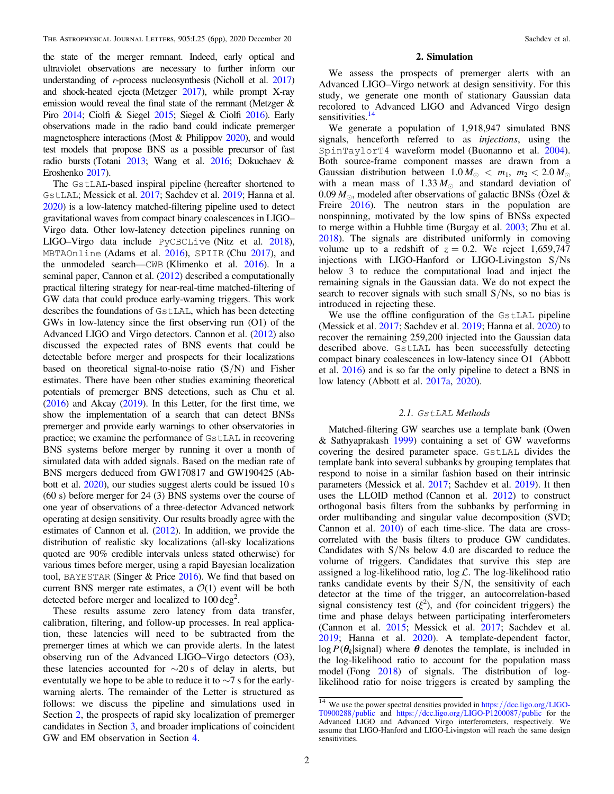<span id="page-1-0"></span>the state of the merger remnant. Indeed, early optical and ultraviolet observations are necessary to further inform our understanding of r-process nucleosynthesis (Nicholl et al. [2017](#page-4-0)) and shock-heated ejecta (Metzger [2017](#page-4-0)), while prompt X-ray emission would reveal the final state of the remnant (Metzger & Piro [2014;](#page-4-0) Ciolfi & Siegel [2015;](#page-4-0) Siegel & Ciolfi [2016](#page-5-0)). Early observations made in the radio band could indicate premerger magnetosphere interactions (Most & Philippov [2020](#page-4-0)), and would test models that propose BNS as a possible precursor of fast radio bursts (Totani [2013](#page-5-0); Wang et al. [2016;](#page-5-0) Dokuchaev & Eroshenko [2017](#page-4-0)).

The GstLAL-based inspiral pipeline (hereafter shortened to GstLAL; Messick et al. [2017](#page-4-0); Sachdev et al. [2019;](#page-4-0) Hanna et al. [2020](#page-4-0)) is a low-latency matched-filtering pipeline used to detect gravitational waves from compact binary coalescences in LIGO– Virgo data. Other low-latency detection pipelines running on LIGO–Virgo data include PyCBCLive (Nitz et al. [2018](#page-4-0)), MBTAOnline (Adams et al. [2016](#page-4-0)), SPIIR (Chu [2017](#page-4-0)), and the unmodeled search—CWB (Klimenko et al. [2016](#page-4-0)). In a seminal paper, Cannon et al. ([2012](#page-4-0)) described a computationally practical filtering strategy for near-real-time matched-filtering of GW data that could produce early-warning triggers. This work describes the foundations of GstLAL, which has been detecting GWs in low-latency since the first observing run (O1) of the Advanced LIGO and Virgo detectors. Cannon et al. ([2012](#page-4-0)) also discussed the expected rates of BNS events that could be detectable before merger and prospects for their localizations based on theoretical signal-to-noise ratio  $(S/N)$  and Fisher estimates. There have been other studies examining theoretical potentials of premerger BNS detections, such as Chu et al. ([2016](#page-4-0)) and Akcay ([2019](#page-4-0)). In this Letter, for the first time, we show the implementation of a search that can detect BNSs premerger and provide early warnings to other observatories in practice; we examine the performance of GstLAL in recovering BNS systems before merger by running it over a month of simulated data with added signals. Based on the median rate of BNS mergers deduced from GW170817 and GW190425 (Abbott et al. [2020](#page-4-0)), our studies suggest alerts could be issued 10 s (60 s) before merger for 24 (3) BNS systems over the course of one year of observations of a three-detector Advanced network operating at design sensitivity. Our results broadly agree with the estimates of Cannon et al. ([2012](#page-4-0)). In addition, we provide the distribution of realistic sky localizations (all-sky localizations quoted are 90% credible intervals unless stated otherwise) for various times before merger, using a rapid Bayesian localization tool, BAYESTAR (Singer & Price [2016](#page-5-0)). We find that based on current BNS merger rate estimates, a  $\mathcal{O}(1)$  event will be both detected before merger and localized to  $100 \text{ deg}^2$ .

These results assume zero latency from data transfer, calibration, filtering, and follow-up processes. In real application, these latencies will need to be subtracted from the premerger times at which we can provide alerts. In the latest observing run of the Advanced LIGO–Virgo detectors (O3), these latencies accounted for  $\sim$ 20 s of delay in alerts, but eventutally we hope to be able to reduce it to ∼7 s for the earlywarning alerts. The remainder of the Letter is structured as follows: we discuss the pipeline and simulations used in Section 2, the prospects of rapid sky localization of premerger candidates in Section [3](#page-2-0), and broader implications of coincident GW and EM observation in Section [4.](#page-3-0)

#### 2. Simulation

We assess the prospects of premerger alerts with an Advanced LIGO–Virgo network at design sensitivity. For this study, we generate one month of stationary Gaussian data recolored to Advanced LIGO and Advanced Virgo design sensitivities. $14$ 

We generate a population of 1,918,947 simulated BNS signals, henceforth referred to as *injections*, using the SpinTaylorT4 waveform model (Buonanno et al. [2004](#page-4-0)). Both source-frame component masses are drawn from a Gaussian distribution between  $1.0 M_{\odot} < m_1$ ,  $m_2 < 2.0 M_{\odot}$ with a mean mass of  $1.33 M_{\odot}$  and standard deviation of 0.09  $M_{\odot}$ , modeled after observations of galactic BNSs (Ozel & Freire [2016](#page-4-0)). The neutron stars in the population are nonspinning, motivated by the low spins of BNSs expected to merge within a Hubble time (Burgay et al. [2003](#page-4-0); Zhu et al. [2018](#page-5-0)). The signals are distributed uniformly in comoving volume up to a redshift of  $z = 0.2$ . We reject 1,659,747 injections with LIGO-Hanford or LIGO-Livingston S/Ns below 3 to reduce the computational load and inject the remaining signals in the Gaussian data. We do not expect the search to recover signals with such small  $S/Ns$ , so no bias is introduced in rejecting these.

We use the offline configuration of the GstLAL pipeline (Messick et al. [2017;](#page-4-0) Sachdev et al. [2019;](#page-4-0) Hanna et al. [2020](#page-4-0)) to recover the remaining 259,200 injected into the Gaussian data described above. GstLAL has been successfully detecting compact binary coalescences in low-latency since O1 (Abbott et al. [2016](#page-4-0)) and is so far the only pipeline to detect a BNS in low latency (Abbott et al. [2017a](#page-4-0), [2020](#page-4-0)).

# 2.1. GstLAL Methods

Matched-filtering GW searches use a template bank (Owen & Sathyaprakash [1999](#page-4-0)) containing a set of GW waveforms covering the desired parameter space. GstLAL divides the template bank into several subbanks by grouping templates that respond to noise in a similar fashion based on their intrinsic parameters (Messick et al. [2017](#page-4-0); Sachdev et al. [2019](#page-4-0)). It then uses the LLOID method (Cannon et al. [2012](#page-4-0)) to construct orthogonal basis filters from the subbanks by performing in order multibanding and singular value decomposition (SVD; Cannon et al. [2010](#page-4-0)) of each time-slice. The data are crosscorrelated with the basis filters to produce GW candidates. Candidates with S/Ns below 4.0 are discarded to reduce the volume of triggers. Candidates that survive this step are assigned a log-likelihood ratio,  $\log \mathcal{L}$ . The log-likelihood ratio ranks candidate events by their  $S/N$ , the sensitivity of each detector at the time of the trigger, an autocorrelation-based signal consistency test  $(\xi^2)$ , and (for coincident triggers) the time and phase delays between participating interferometers (Cannon et al. [2015](#page-4-0); Messick et al. [2017;](#page-4-0) Sachdev et al. [2019;](#page-4-0) Hanna et al. [2020](#page-4-0)). A template-dependent factor,  $\log P(\theta_k | \text{signal})$  where  $\theta$  denotes the template, is included in the log-likelihood ratio to account for the population mass model (Fong [2018](#page-4-0)) of signals. The distribution of loglikelihood ratio for noise triggers is created by sampling the

<sup>&</sup>lt;sup>14</sup> We use the power spectral densities provided in https://[dcc.ligo.org](https://dcc.ligo.org/LIGO-T0900288/public)/LIGO-[T0900288](https://dcc.ligo.org/LIGO-T0900288/public)/public and https://dcc.ligo.org/[LIGO-P1200087](https://dcc.ligo.org/LIGO-P1200087/public)/public for the Advanced LIGO and Advanced Virgo interferometers, respectively. We assume that LIGO-Hanford and LIGO-Livingston will reach the same design sensitivities.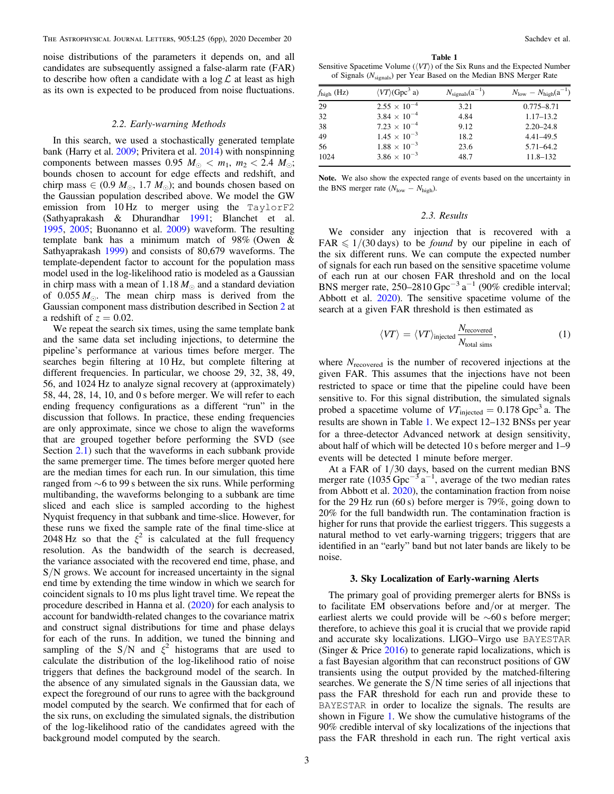<span id="page-2-0"></span>noise distributions of the parameters it depends on, and all candidates are subsequently assigned a false-alarm rate (FAR) to describe how often a candidate with a  $\log \mathcal{L}$  at least as high as its own is expected to be produced from noise fluctuations.

#### 2.2. Early-warning Methods

In this search, we used a stochastically generated template bank (Harry et al. [2009;](#page-4-0) Privitera et al. [2014](#page-4-0)) with nonspinning components between masses 0.95  $M_{\odot} < m_1$ ,  $m_2 < 2.4$   $M_{\odot}$ ; bounds chosen to account for edge effects and redshift, and chirp mass  $\in (0.9 \ M_{\odot}, 1.7 \ M_{\odot})$ ; and bounds chosen based on the Gaussian population described above. We model the GW emission from 10 Hz to merger using the TaylorF2 (Sathyaprakash & Dhurandhar [1991](#page-4-0); Blanchet et al. [1995,](#page-4-0) [2005](#page-4-0); Buonanno et al. [2009](#page-4-0)) waveform. The resulting template bank has a minimum match of 98% (Owen & Sathyaprakash [1999](#page-4-0)) and consists of 80,679 waveforms. The template-dependent factor to account for the population mass model used in the log-likelihood ratio is modeled as a Gaussian in chirp mass with a mean of 1.18  $M_{\odot}$  and a standard deviation of  $0.055 M_{\odot}$ . The mean chirp mass is derived from the Gaussian component mass distribution described in Section [2](#page-1-0) at a redshift of  $z = 0.02$ .

We repeat the search six times, using the same template bank and the same data set including injections, to determine the pipeline's performance at various times before merger. The searches begin filtering at 10 Hz, but complete filtering at different frequencies. In particular, we choose 29, 32, 38, 49, 56, and 1024 Hz to analyze signal recovery at (approximately) 58, 44, 28, 14, 10, and 0 s before merger. We will refer to each ending frequency configurations as a different "run" in the discussion that follows. In practice, these ending frequencies are only approximate, since we chose to align the waveforms that are grouped together before performing the SVD (see Section [2.1](#page-1-0)) such that the waveforms in each subbank provide the same premerger time. The times before merger quoted here are the median times for each run. In our simulation, this time ranged from ∼6 to 99 s between the six runs. While performing multibanding, the waveforms belonging to a subbank are time sliced and each slice is sampled according to the highest Nyquist frequency in that subbank and time-slice. However, for these runs we fixed the sample rate of the final time-slice at 2048 Hz so that the  $\xi^2$  is calculated at the full frequency resolution. As the bandwidth of the search is decreased, the variance associated with the recovered end time, phase, and S/N grows. We account for increased uncertainty in the signal end time by extending the time window in which we search for coincident signals to 10 ms plus light travel time. We repeat the procedure described in Hanna et al. ([2020](#page-4-0)) for each analysis to account for bandwidth-related changes to the covariance matrix and construct signal distributions for time and phase delays for each of the runs. In addition, we tuned the binning and sampling of the S/N and  $\xi^2$  histograms that are used to calculate the distribution of the log-likelihood ratio of noise triggers that defines the background model of the search. In the absence of any simulated signals in the Gaussian data, we expect the foreground of our runs to agree with the background model computed by the search. We confirmed that for each of the six runs, on excluding the simulated signals, the distribution of the log-likelihood ratio of the candidates agreed with the background model computed by the search.

Table 1 Sensitive Spacetime Volume  $(\langle VT \rangle)$  of the Six Runs and the Expected Number of Signals (N<sub>signals</sub>) per Year Based on the Median BNS Merger Rate

| $f_{\text{high}}$ (Hz) | $\langle VT \rangle$ (Gpc <sup>3</sup> a) | $N_{\text{signals}}(a^{-1})$ | $N_{\text{low}} - N_{\text{high}}(a^{-1})$ |  |
|------------------------|-------------------------------------------|------------------------------|--------------------------------------------|--|
| 29                     | $2.55 \times 10^{-4}$                     | 3.21                         | $0.775 - 8.71$                             |  |
| 32                     | $3.84 \times 10^{-4}$                     | 4.84                         | $1.17 - 13.2$                              |  |
| 38                     | $7.23 \times 10^{-4}$                     | 9.12                         | $2.20 - 24.8$                              |  |
| 49                     | $1.45 \times 10^{-3}$                     | 18.2                         | $4.41 - 49.5$                              |  |
| 56                     | $1.88 \times 10^{-3}$                     | 23.6                         | $5.71 - 64.2$                              |  |
| 1024                   | $3.86 \times 10^{-3}$                     | 48.7                         | $11.8 - 132$                               |  |
|                        |                                           |                              |                                            |  |

Note. We also show the expected range of events based on the uncertainty in the BNS merger rate  $(N_{\text{low}} - N_{\text{high}})$ .

# 2.3. Results

We consider any injection that is recovered with a FAR  $\leq 1/(30 \text{ days})$  to be *found* by our pipeline in each of the six different runs. We can compute the expected number of signals for each run based on the sensitive spacetime volume of each run at our chosen FAR threshold and on the local BNS merger rate, 250–2810 Gpc<sup>-3</sup> a<sup>-1</sup> (90% credible interval; Abbott et al. [2020](#page-4-0)). The sensitive spacetime volume of the search at a given FAR threshold is then estimated as

$$
\langle VT \rangle = \langle VT \rangle_{\text{injected}} \frac{N_{\text{recovered}}}{N_{\text{total sims}}},\tag{1}
$$

where  $N_{recovered}$  is the number of recovered injections at the given FAR. This assumes that the injections have not been restricted to space or time that the pipeline could have been sensitive to. For this signal distribution, the simulated signals probed a spacetime volume of  $VT_{\text{injected}} = 0.178 \text{ Gpc}^3$  a. The results are shown in Table 1. We expect 12–132 BNSs per year for a three-detector Advanced network at design sensitivity, about half of which will be detected 10 s before merger and 1–9 events will be detected 1 minute before merger.

At a FAR of 1/30 days, based on the current median BNS merger rate (1035 Gpc<sup>-3</sup> a<sup>-1</sup>, average of the two median rates from Abbott et al. [2020](#page-4-0)), the contamination fraction from noise for the 29 Hz run (60 s) before merger is 79%, going down to 20% for the full bandwidth run. The contamination fraction is higher for runs that provide the earliest triggers. This suggests a natural method to vet early-warning triggers; triggers that are identified in an "early" band but not later bands are likely to be noise.

#### 3. Sky Localization of Early-warning Alerts

The primary goal of providing premerger alerts for BNSs is to facilitate EM observations before and/or at merger. The earliest alerts we could provide will be ∼60 s before merger; therefore, to achieve this goal it is crucial that we provide rapid and accurate sky localizations. LIGO–Virgo use BAYESTAR (Singer & Price [2016](#page-5-0)) to generate rapid localizations, which is a fast Bayesian algorithm that can reconstruct positions of GW transients using the output provided by the matched-filtering searches. We generate the  $S/N$  time series of all injections that pass the FAR threshold for each run and provide these to BAYESTAR in order to localize the signals. The results are shown in Figure [1](#page-3-0). We show the cumulative histograms of the 90% credible interval of sky localizations of the injections that pass the FAR threshold in each run. The right vertical axis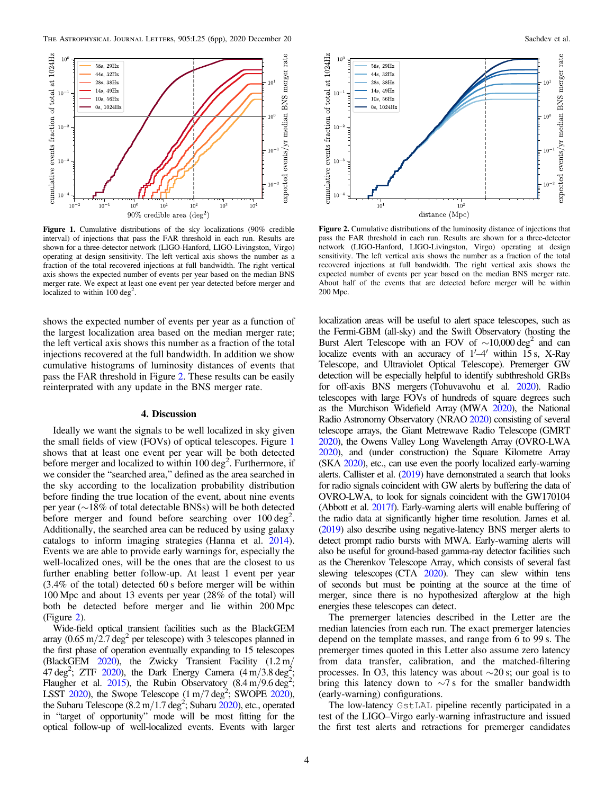<span id="page-3-0"></span>

Figure 1. Cumulative distributions of the sky localizations (90% credible interval) of injections that pass the FAR threshold in each run. Results are shown for a three-detector network (LIGO-Hanford, LIGO-Livingston, Virgo) operating at design sensitivity. The left vertical axis shows the number as a fraction of the total recovered injections at full bandwidth. The right vertical axis shows the expected number of events per year based on the median BNS merger rate. We expect at least one event per year detected before merger and localized to within  $100 \text{ deg}^2$ .

shows the expected number of events per year as a function of the largest localization area based on the median merger rate; the left vertical axis shows this number as a fraction of the total injections recovered at the full bandwidth. In addition we show cumulative histograms of luminosity distances of events that pass the FAR threshold in Figure 2. These results can be easily reinterprated with any update in the BNS merger rate.

## 4. Discussion

Ideally we want the signals to be well localized in sky given the small fields of view (FOVs) of optical telescopes. Figure 1 shows that at least one event per year will be both detected before merger and localized to within  $100 \text{ deg}^2$ . Furthermore, if we consider the "searched area," defined as the area searched in the sky according to the localization probability distribution before finding the true location of the event, about nine events per year (∼18% of total detectable BNSs) will be both detected before merger and found before searching over  $100 \text{ deg}^2$ . Additionally, the searched area can be reduced by using galaxy catalogs to inform imaging strategies (Hanna et al. [2014](#page-4-0)). Events we are able to provide early warnings for, especially the well-localized ones, will be the ones that are the closest to us further enabling better follow-up. At least 1 event per year (3.4% of the total) detected 60 s before merger will be within 100 Mpc and about 13 events per year (28% of the total) will both be detected before merger and lie within 200 Mpc (Figure 2).

Wide-field optical transient facilities such as the BlackGEM array  $(0.65 \text{ m}/2.7 \text{ deg}^2 \text{ per telescope})$  with 3 telescopes planned in the first phase of operation eventually expanding to 15 telescopes (BlackGEM [2020](#page-4-0)), the Zwicky Transient Facility (1.2 m/  $47 \text{ deg}^2$ ; ZTF [2020](#page-5-0)), the Dark Energy Camera  $(4 \text{ m}/3.8 \text{ deg}^2)$ ; Flaugher et al.  $2015$ ), the Rubin Observatory  $(8.4 \text{ m}/9.6 \text{ deg}^2)$ ; LSST  $2020$ ), the Swope Telescope  $(1 \text{ m}/7 \text{ deg}^2)$ ; SWOPE  $2020$ ), the Subaru Telescope  $(8.2 \text{ m}/1.7 \text{ deg}^2)$ ; Subaru  $2020$ ), etc., operated in "target of opportunity" mode will be most fitting for the optical follow-up of well-localized events. Events with larger



Figure 2. Cumulative distributions of the luminosity distance of injections that pass the FAR threshold in each run. Results are shown for a three-detector network (LIGO-Hanford, LIGO-Livingston, Virgo) operating at design sensitivity. The left vertical axis shows the number as a fraction of the total recovered injections at full bandwidth. The right vertical axis shows the expected number of events per year based on the median BNS merger rate. About half of the events that are detected before merger will be within 200 Mpc.

localization areas will be useful to alert space telescopes, such as the Fermi-GBM (all-sky) and the Swift Observatory (hosting the Burst Alert Telescope with an FOV of  $\sim$ 10,000 deg<sup>2</sup> and can localize events with an accuracy of  $1'$ –4' within 15 s, X-Ray Telescope, and Ultraviolet Optical Telescope). Premerger GW detection will be especially helpful to identify subthreshold GRBs for off-axis BNS mergers (Tohuvavohu et al. [2020](#page-5-0)). Radio telescopes with large FOVs of hundreds of square degrees such as the Murchison Widefield Array (MWA [2020](#page-4-0)), the National Radio Astronomy Observatory (NRAO [2020](#page-4-0)) consisting of several telescope arrays, the Giant Metrewave Radio Telescope (GMRT [2020](#page-4-0)), the Owens Valley Long Wavelength Array (OVRO-LWA [2020](#page-4-0)), and (under construction) the Square Kilometre Array (SKA [2020](#page-5-0)), etc., can use even the poorly localized early-warning alerts. Callister et al. ([2019](#page-4-0)) have demonstrated a search that looks for radio signals coincident with GW alerts by buffering the data of OVRO-LWA, to look for signals coincident with the GW170104 (Abbott et al. [2017f](#page-4-0)). Early-warning alerts will enable buffering of the radio data at significantly higher time resolution. James et al. ([2019](#page-4-0)) also describe using negative-latency BNS merger alerts to detect prompt radio bursts with MWA. Early-warning alerts will also be useful for ground-based gamma-ray detector facilities such as the Cherenkov Telescope Array, which consists of several fast slewing telescopes (CTA [2020](#page-4-0)). They can slew within tens of seconds but must be pointing at the source at the time of merger, since there is no hypothesized afterglow at the high energies these telescopes can detect.

The premerger latencies described in the Letter are the median latencies from each run. The exact premerger latencies depend on the template masses, and range from 6 to 99 s. The premerger times quoted in this Letter also assume zero latency from data transfer, calibration, and the matched-filtering processes. In O3, this latency was about  $\sim$ 20 s; our goal is to bring this latency down to ∼7 s for the smaller bandwidth (early-warning) configurations.

The low-latency GstLAL pipeline recently participated in a test of the LIGO–Virgo early-warning infrastructure and issued the first test alerts and retractions for premerger candidates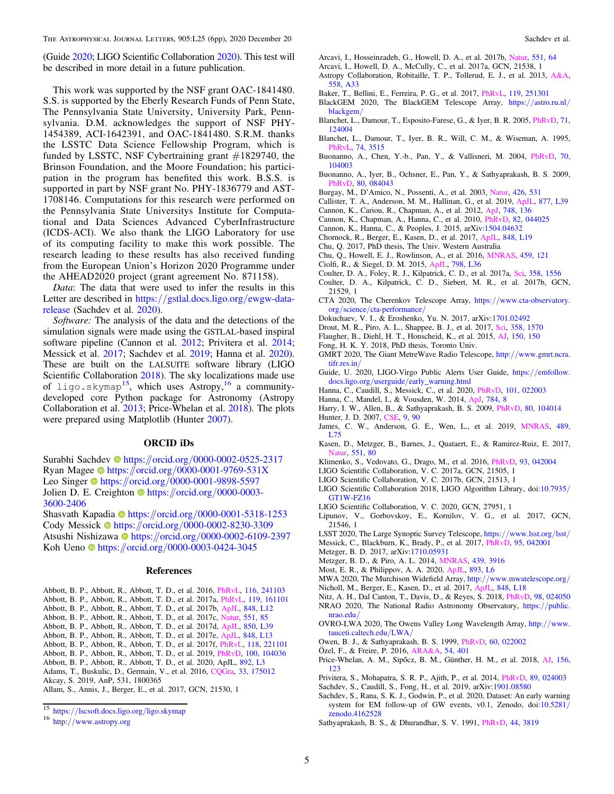<span id="page-4-0"></span>(Guide 2020; LIGO Scientific Collaboration 2020). This test will be described in more detail in a future publication.

This work was supported by the NSF grant OAC-1841480. S.S. is supported by the Eberly Research Funds of Penn State, The Pennsylvania State University, University Park, Pennsylvania. D.M. acknowledges the support of NSF PHY-1454389, ACI-1642391, and OAC-1841480. S.R.M. thanks the LSSTC Data Science Fellowship Program, which is funded by LSSTC, NSF Cybertraining grant  $#1829740$ , the Brinson Foundation, and the Moore Foundation; his participation in the program has benefited this work. B.S.S. is supported in part by NSF grant No. PHY-1836779 and AST-1708146. Computations for this research were performed on the Pennsylvania State Universitys Institute for Computational and Data Sciences Advanced CyberInfrastructure (ICDS-ACI). We also thank the LIGO Laboratory for use of its computing facility to make this work possible. The research leading to these results has also received funding from the European Union's Horizon 2020 Programme under the AHEAD2020 project (grant agreement No. 871158).

Data: The data that were used to infer the results in this Letter are described in https://[gstlal.docs.ligo.org](https://gstlal.docs.ligo.org/ewgw-data-release)/ewgw-data[release](https://gstlal.docs.ligo.org/ewgw-data-release) (Sachdev et al. 2020).

Software: The analysis of the data and the detections of the simulation signals were made using the GSTLAL-based inspiral software pipeline (Cannon et al. 2012; Privitera et al. 2014; Messick et al. 2017; Sachdev et al. 2019; Hanna et al. 2020). These are built on the LALSUITE software library (LIGO Scientific Collaboration 2018). The sky localizations made use of ligo.skymap<sup>15</sup>, which uses Astropy,<sup>16</sup> a communitydeveloped core Python package for Astronomy (Astropy Collaboration et al. 2013; Price-Whelan et al. 2018). The plots were prepared using Matplotlib (Hunter 2007).

# ORCID iDs

Surabhi Sachdev inttps://orcid.org/[0000-0002-0525-2317](https://orcid.org/0000-0002-0525-2317) Ryan Mag[e](https://orcid.org/0000-0001-9769-531X)e  $\bullet$  [https:](https://orcid.org/0000-0001-9769-531X)//orcid.org/[0000-0001-9769-531X](https://orcid.org/0000-0001-9769-531X) Leo Singe[r](https://orcid.org/0000-0001-9898-5597) **the [https:](https://orcid.org/0000-0001-9898-5597)**//orcid.org/[0000-0001-9898-5597](https://orcid.org/0000-0001-9898-5597) Jolie[n](https://orcid.org/0000-0003-3600-2406) D. E. Creighton **I** [https:](https://orcid.org/0000-0003-3600-2406)//orcid.org/[0000-0003-](https://orcid.org/0000-0003-3600-2406) [3600-2406](https://orcid.org/0000-0003-3600-2406)

Shasvath Kapadia [https:](https://orcid.org/0000-0001-5318-1253)//orcid.org/[0000-0001-5318-1253](https://orcid.org/0000-0001-5318-1253) Cody Messick [https:](https://orcid.org/0000-0002-8230-3309)//orcid.org/[0000-0002-8230-3309](https://orcid.org/0000-0002-8230-3309) Atsushi Nishiz[a](https://orcid.org/0000-0002-6109-2397)wa [https:](https://orcid.org/0000-0002-6109-2397)//orcid.org/[0000-0002-6109-2397](https://orcid.org/0000-0002-6109-2397) Koh Ueno **[https:](https://orcid.org/0000-0003-0424-3045)//orcid.org/[0000-0003-0424-3045](https://orcid.org/0000-0003-0424-3045)** 

### References

- Abbott, B. P., Abbott, R., Abbott, T. D., et al. 2016, [PhRvL](https://doi.org/10.1103/PhysRevLett.116.241103), [116, 241103](https://ui.adsabs.harvard.edu/abs/2016PhRvL.116x1103A/abstract)
- Abbott, B. P., Abbott, R., Abbott, T. D., et al. 2017a, [PhRvL,](https://doi.org/10.1103/PhysRevLett.119.161101) [119, 161101](https://ui.adsabs.harvard.edu/abs/2017PhRvL.119p1101A/abstract)
- Abbott, B. P., Abbott, R., Abbott, T. D., et al. 2017b, [ApJL](https://doi.org/10.3847/2041-8213/aa91c9), [848, L12](https://ui.adsabs.harvard.edu/abs/2017ApJ...848L..12A/abstract)
- Abbott, B. P., Abbott, R., Abbott, T. D., et al. 2017c, [Natur](https://doi.org/10.1038/551425a), [551, 85](https://ui.adsabs.harvard.edu/abs/2017Natur.551...85A/abstract)
- Abbott, B. P., Abbott, R., Abbott, T. D., et al. 2017d, [ApJL](https://doi.org/10.3847/2041-8213/aa9478), [850, L39](https://ui.adsabs.harvard.edu/abs/2017ApJ...850L..39A/abstract) Abbott, B. P., Abbott, R., Abbott, T. D., et al. 2017e, [ApJL,](https://doi.org/10.3847/2041-8213/aa920c) [848, L13](https://ui.adsabs.harvard.edu/abs/2017ApJ...848L..13A/abstract)
- Abbott, B. P., Abbott, R., Abbott, T. D., et al. 2017f, [PhRvL,](https://doi.org/10.1103/PhysRevLett.118.221101) [118, 221101](https://ui.adsabs.harvard.edu/abs/2017PhRvL.118v1101A/abstract)
- Abbott, B. P., Abbott, R., Abbott, T. D., et al. 2019, [PhRvD](https://doi.org/10.1103/PhysRevD.100.104036), [100, 104036](https://ui.adsabs.harvard.edu/abs/2019PhRvD.100j4036A/abstract)
- Abbott, B. P., Abbott, R., Abbott, T. D., et al. 2020, ApJL, [892, L3](https://ui.adsabs.harvard.edu/abs/2020ApJ...892L...3A/abstract)
- Adams, T., Buskulic, D., Germain, V., et al. 2016, [CQGra](https://doi.org/10.1088/0264-9381/33/17/175012), [33, 175012](https://ui.adsabs.harvard.edu/abs/2016CQGra..33q5012A/abstract) Akcay, S. 2019, AnP, 531, 1800365
- Allam, S., Annis, J., Berger, E., et al. 2017, GCN, 21530, 1
- Arcavi, I., Hosseinzadeh, G., Howell, D. A., et al. 2017b, [Natur,](https://doi.org/10.1038/nature24291) [551, 64](https://ui.adsabs.harvard.edu/abs/2017Natur.551...64A/abstract)
- Arcavi, I., Howell, D. A., McCully, C., et al. 2017a, GCN, 21538, 1
- Astropy Collaboration, Robitaille, T. P., Tollerud, E. J., et al. 2013, [A&A](https://doi.org/10.1051/0004-6361/201322068)[,](https://ui.adsabs.harvard.edu/abs/2013A&A...558A..33A/abstract) [558, A33](https://ui.adsabs.harvard.edu/abs/2013A&A...558A..33A/abstract)
- Baker, T., Bellini, E., Ferreira, P. G., et al. 2017, [PhRvL,](https://doi.org/10.1103/PhysRevLett.119.251301) [119, 251301](https://ui.adsabs.harvard.edu/abs/2017PhRvL.119y1301B/abstract)
- BlackGEM 2020, The BlackGEM Telescope Array, https://[astro.ru.nl](https://astro.ru.nl/blackgem/)/ [blackgem](https://astro.ru.nl/blackgem/)/
- Blanchet, L., Damour, T., Esposito-Farese, G., & Iyer, B. R. 2005, [PhRvD,](https://doi.org/10.1103/PhysRevD.71.124004) [71,](https://ui.adsabs.harvard.edu/abs/2005PhRvD..71l4004B/abstract) [124004](https://ui.adsabs.harvard.edu/abs/2005PhRvD..71l4004B/abstract)
- Blanchet, L., Damour, T., Iyer, B. R., Will, C. M., & Wiseman, A. 1995, [PhRvL](https://doi.org/10.1103/PhysRevLett.74.3515), [74, 3515](https://ui.adsabs.harvard.edu/abs/1995PhRvL..74.3515B/abstract)
- Buonanno, A., Chen, Y.-b., Pan, Y., & Vallisneri, M. 2004, [PhRvD,](https://doi.org/10.1103/PhysRevD.70.104003) [70,](https://ui.adsabs.harvard.edu/abs/2004PhRvD..70j4003B/abstract) [104003](https://ui.adsabs.harvard.edu/abs/2004PhRvD..70j4003B/abstract)
- Buonanno, A., Iyer, B., Ochsner, E., Pan, Y., & Sathyaprakash, B. S. 2009, [PhRvD](https://doi.org/10.1103/PhysRevD.80.084043), [80, 084043](https://ui.adsabs.harvard.edu/abs/2009PhRvD..80h4043B/abstract)
- Burgay, M., D'Amico, N., Possenti, A., et al. 2003, [Natur,](https://doi.org/10.1038/nature02124) [426, 531](https://ui.adsabs.harvard.edu/abs/2003Natur.426..531B/abstract)
- Callister, T. A., Anderson, M. M., Hallinan, G., et al. 2019, [ApJL,](https://doi.org/10.3847/2041-8213/ab2248) [877, L39](https://ui.adsabs.harvard.edu/abs/2019ApJ...877L..39C/abstract)
- Cannon, K., Cariou, R., Chapman, A., et al. 2012, [ApJ](https://doi.org/10.1088/0004-637X/748/2/136), [748, 136](https://ui.adsabs.harvard.edu/abs/2012ApJ...748..136C/abstract)
- Cannon, K., Chapman, A., Hanna, C., et al. 2010, [PhRvD,](https://doi.org/10.1103/physrevd.82.044025) [82, 044025](https://ui.adsabs.harvard.edu/abs/2010PhRvD..82d4025C/abstract)
- Cannon, K., Hanna, C., & Peoples, J. 2015, arXiv[:1504.04632](http://arxiv.org/abs/1504.04632)
- Chornock, R., Berger, E., Kasen, D., et al. 2017, [ApJL,](https://doi.org/10.3847/2041-8213/aa905c) [848, L19](https://ui.adsabs.harvard.edu/abs/2017ApJ...848L..19C/abstract)
- Chu, Q. 2017, PhD thesis, The Univ. Western Australia
- Chu, Q., Howell, E. J., Rowlinson, A., et al. 2016, [MNRAS](https://doi.org/10.1093/mnras/stw576), [459, 121](https://ui.adsabs.harvard.edu/abs/2016MNRAS.459..121C/abstract)
- Ciolfi, R., & Siegel, D. M. 2015, [ApJL,](https://doi.org/10.1088/2041-8205/798/2/L36) [798, L36](https://ui.adsabs.harvard.edu/abs/2015ApJ...798L..36C/abstract)
- Coulter, D. A., Foley, R. J., Kilpatrick, C. D., et al. 2017a, [Sci,](https://doi.org/10.1126/science.aap9811) [358, 1556](https://ui.adsabs.harvard.edu/abs/2017Sci...358.1556C/abstract)
- Coulter, D. A., Kilpatrick, C. D., Siebert, M. R., et al. 2017b, GCN, 21529, 1
- CTA 2020, The Cherenkov Telescope Array, https://[www.cta-observatory.](https://www.cta-observatory.org/science/cta-performance/) org/science/[cta-performance](https://www.cta-observatory.org/science/cta-performance/)/
- Dokuchaev, V. I., & Eroshenko, Yu. N. 2017, arXiv:[1701.02492](http://arxiv.org/abs/1701.02492)
- Drout, M. R., Piro, A. L., Shappee, B. J., et al. 2017, [Sci,](https://doi.org/10.1126/science.aaq0049) [358, 1570](https://ui.adsabs.harvard.edu/abs/2017Sci...358.1570D/abstract)
- Flaugher, B., Diehl, H. T., Honscheid, K., et al. 2015, [AJ](https://doi.org/10.1088/0004-6256/150/5/150), [150, 150](https://ui.adsabs.harvard.edu/abs/2015AJ....150..150F/abstract)
- Fong, H. K. Y. 2018, PhD thesis, Toronto Univ.
- GMRT 2020, The Giant MetreWave Radio Telescope, http://[www.gmrt.ncra.](https://www.gmrt.ncra.tifr.res.in/) [tifr.res.in](https://www.gmrt.ncra.tifr.res.in/)/
- Guide, U. 2020, LIGO-Virgo Public Alerts User Guide, https://[emfollow.](https://emfollow.docs.ligo.org/userguide/early_warning.html) docs.ligo.org/userguide/[early\\_warning.html](https://emfollow.docs.ligo.org/userguide/early_warning.html)
- Hanna, C., Caudill, S., Messick, C., et al. 2020, [PhRvD,](https://doi.org/10.1103/PhysRevD.101.022003) [101, 022003](https://ui.adsabs.harvard.edu/abs/2020PhRvD.101b2003H/abstract)
- Hanna, C., Mandel, I., & Vousden, W. 2014, [ApJ](https://doi.org/10.1088/0004-637X/784/1/8), [784, 8](https://ui.adsabs.harvard.edu/abs/2014ApJ...784....8H/abstract)
- Harry, I. W., Allen, B., & Sathyaprakash, B. S. 2009, [PhRvD,](https://doi.org/10.1103/PhysRevD.80.104014) [80, 104014](https://ui.adsabs.harvard.edu/abs/2009PhRvD..80j4014H/abstract) Hunter, J. D. 2007, [CSE,](https://doi.org/10.1109/MCSE.2007.55) [9, 90](https://ui.adsabs.harvard.edu/abs/2007CSE.....9...90H/abstract)
- James, C. W., Anderson, G. E., Wen, L., et al. 2019, [MNRAS,](https://doi.org/10.1093/mnrasl/slz129) [489,](https://ui.adsabs.harvard.edu/abs/2019MNRAS.489L..75J/abstract) [L75](https://ui.adsabs.harvard.edu/abs/2019MNRAS.489L..75J/abstract)
- Kasen, D., Metzger, B., Barnes, J., Quataert, E., & Ramirez-Ruiz, E. 2017, [Natur,](https://doi.org/10.1038/nature24453) [551, 80](https://ui.adsabs.harvard.edu/abs/2017Natur.551...80K/abstract)
- Klimenko, S., Vedovato, G., Drago, M., et al. 2016, [PhRvD,](https://doi.org/10.1103/PhysRevD.93.042004) [93, 042004](https://ui.adsabs.harvard.edu/abs/2016PhRvD..93d2004K/abstract)
- LIGO Scientific Collaboration, V. C. 2017a, GCN, 21505, 1
- LIGO Scientific Collaboration, V. C. 2017b, GCN, 21513, 1
- LIGO Scientific Collaboration 2018, LIGO Algorithm Library, doi[:10.7935](https://doi.org/10.7935/GT1W-FZ16)/ [GT1W-FZ16](https://doi.org/10.7935/GT1W-FZ16)
- LIGO Scientific Collaboration, V. C. 2020, GCN, 27951, 1
- Lipunov, V., Gorbovskoy, E., Kornilov, V. G., et al. 2017, GCN, 21546, 1
- LSST 2020, The Large Synoptic Survey Telescope, https://[www.lsst.org](https://www.lsst.org/lsst/)/lsst/ Messick, C., Blackburn, K., Brady, P., et al. 2017, [PhRvD](https://doi.org/10.1103/PhysRevD.95.042001), [95, 042001](https://ui.adsabs.harvard.edu/abs/2017PhRvD..95d2001M/abstract)
- Metzger, B. D. 2017, arXiv:[1710.05931](http://arxiv.org/abs/1710.05931)
- Metzger, B. D., & Piro, A. L. 2014, [MNRAS](https://doi.org/10.1093/mnras/stu247), [439, 3916](https://ui.adsabs.harvard.edu/abs/2014MNRAS.439.3916M/abstract)
- Most, E. R., & Philippov, A. A. 2020, [ApJL](https://doi.org/10.3847/2041-8213/ab8196), [893, L6](https://ui.adsabs.harvard.edu/abs/2020ApJ...893L...6M/abstract)
- MWA 2020, The Murchison Widefield Array, http://[www.mwatelescope.org](https://www.mwatelescope.org/)/
- Nicholl, M., Berger, E., Kasen, D., et al. 2017, [ApJL](https://doi.org/10.3847/2041-8213/aa9029), [848, L18](https://ui.adsabs.harvard.edu/abs/2017ApJ...848L..18N/abstract)
- Nitz, A. H., Dal Canton, T., Davis, D., & Reyes, S. 2018, [PhRvD,](https://doi.org/10.1103/PhysRevD.98.024050) [98, 024050](https://ui.adsabs.harvard.edu/abs/2018PhRvD..98b4050N/abstract) NRAO 2020, The National Radio Astronomy Observatory, https://[public.](https://public.nrao.edu/) [nrao.edu](https://public.nrao.edu/)/
- OVRO-LWA 2020, The Owens Valley Long Wavelength Array, http://[www.](https://www.tauceti.caltech.edu/LWA/) [tauceti.caltech.edu](https://www.tauceti.caltech.edu/LWA/)/LWA/
- Owen, B. J., & Sathyaprakash, B. S. 1999, [PhRvD,](https://doi.org/10.1103/PhysRevD.60.022002) [60, 022002](https://ui.adsabs.harvard.edu/abs/1999PhRvD..60b2002O/abstract)
- Özel, F., & Freire, P. 2016, [ARA&A,](https://doi.org/10.1146/annurev-astro-081915-023322) [54, 401](https://ui.adsabs.harvard.edu/abs/2016ARA&A..54..401O/abstract)
- Price-Whelan, A. M., Sipőcz, B. M., Günther, H. M., et al. 2018, [AJ,](https://doi.org/10.3847/1538-3881/aac387) [156,](https://ui.adsabs.harvard.edu/abs/2018AJ....156...18P/abstract) [123](https://ui.adsabs.harvard.edu/abs/2018AJ....156...18P/abstract)
- Privitera, S., Mohapatra, S. R. P., Ajith, P., et al. 2014, [PhRvD,](https://doi.org/10.1103/PhysRevD.89.024003) [89, 024003](https://ui.adsabs.harvard.edu/abs/2014PhRvD..89b4003P/abstract)
- Sachdev, S., Caudill, S., Fong, H., et al. 2019, arXiv:[1901.08580](http://arxiv.org/abs/1901.08580)
- Sachdev, S., Rana, S. K. J., Godwin, P., et al. 2020, Dataset: An early warning system for EM follow-up of GW events, v0.1, Zenodo, doi[:10.5281](https://doi.org/10.5281/zenodo.4162528)/ [zenodo.4162528](https://doi.org/10.5281/zenodo.4162528)
- Sathyaprakash, B. S., & Dhurandhar, S. V. 1991, [PhRvD](https://doi.org/10.1103/PhysRevD.44.3819), [44, 3819](https://ui.adsabs.harvard.edu/abs/1991PhRvD..44.3819S/abstract)

<sup>15</sup> https://[lscsoft.docs.ligo.org](https://lscsoft.docs.ligo.org/ligo.skymap)/ligo.skymap <sup>16</sup> http://[www.astropy.org](http://www.astropy.org)